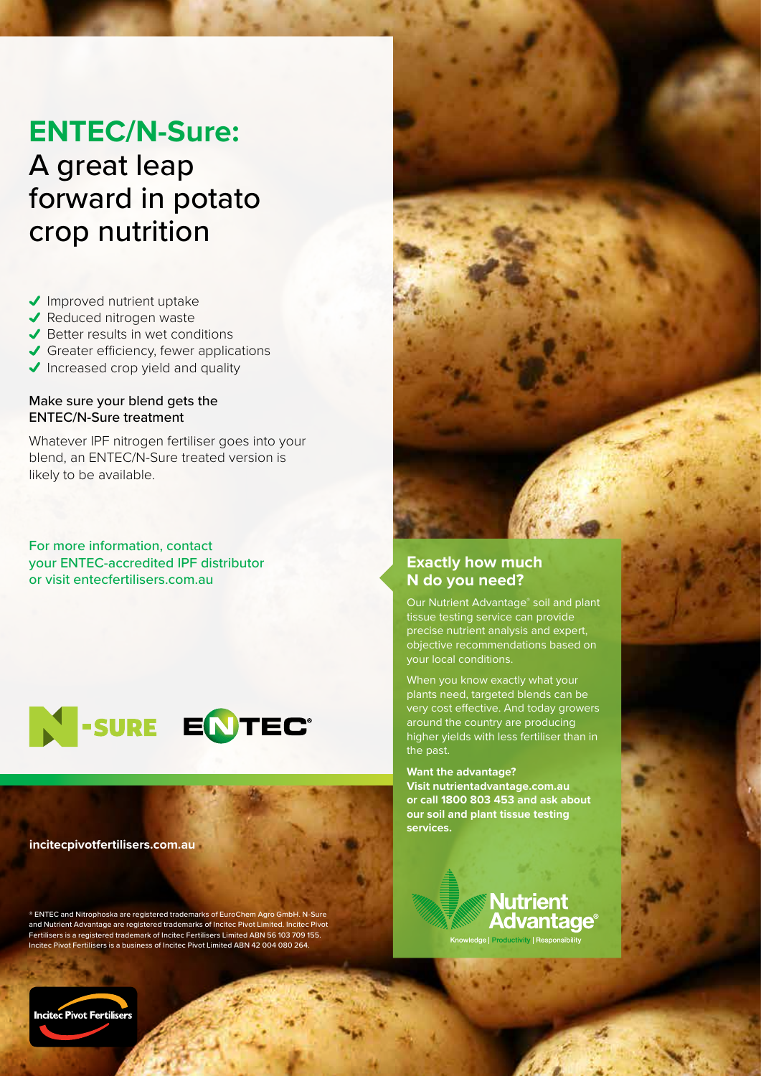## **ENTEC/N-Sure:**

# A great leap forward in potato crop nutrition

- $\sqrt{}$  Improved nutrient uptake
- ◆ Reduced nitrogen waste
- $\blacktriangleright$  Better results in wet conditions
- Greater efficiency, fewer applications
- Increased crop yield and quality

## Make sure your blend gets the ENTEC/N-Sure treatment

Whatever IPF nitrogen fertiliser goes into your blend, an ENTEC/N-Sure treated version is likely to be available.

For more information, contact your ENTEC-accredited IPF distributor or visit entecfertilisers.com.au



**incitecpivotfertilisers.com.au**

® ENTEC and Nitrophoska are registered trademarks of EuroChem Agro GmbH. N-Sure and Nutrient Advantage are registered trademarks of Incitec Pivot Limited. Incitec Pivot Fertilisers is a registered trademark of Incitec Fertilisers Limited ABN 56 103 709 155. Incitec Pivot Fertilisers is a business of Incitec Pivot Limited ABN 42 004 080 264.



## **Exactly how much N do you need?**

Our Nutrient Advantage® soil and plant tissue testing service can provide precise nutrient analysis and expert, objective recommendations based on your local conditions.

When you know exactly what your plants need, targeted blends can be very cost effective. And today growers around the country are producing higher yields with less fertiliser than in the past.

**Want the advantage? Visit nutrientadvantage.com.au or call 1800 803 453 and ask about our soil and plant tissue testing services.**

> **Nutrient Advantage**® e | Productivity | Responsibility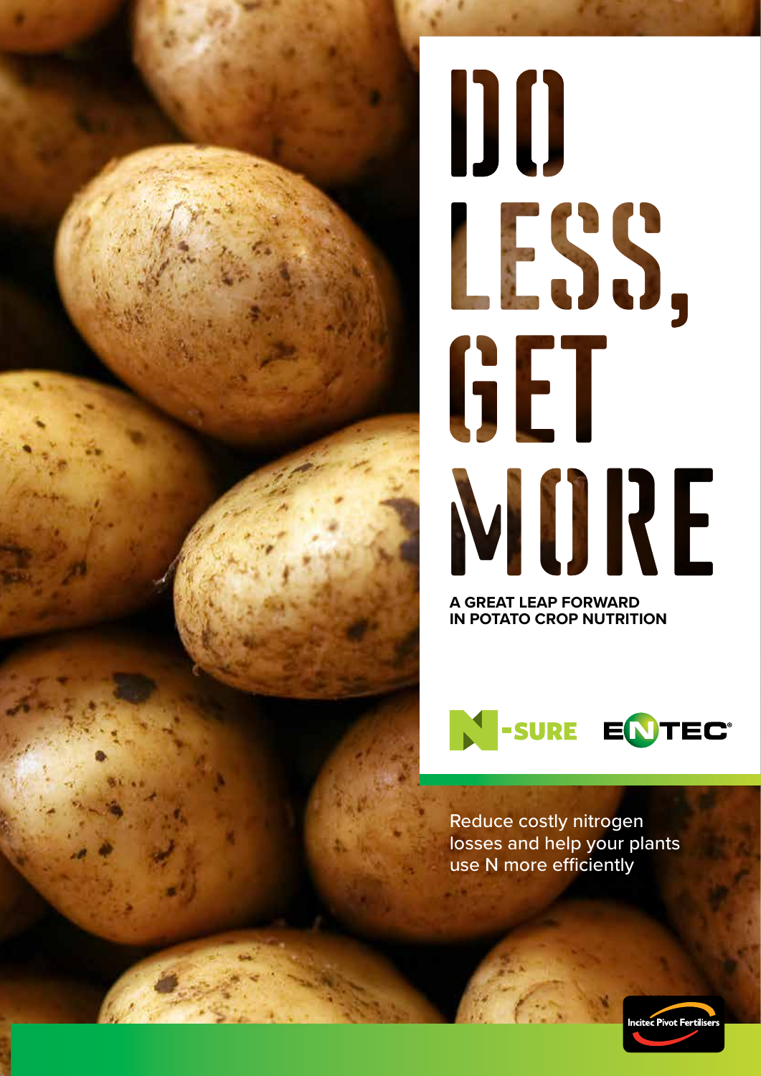# DO LESS, GET MURE

**A GREAT LEAP FORWARD IN POTATO CROP NUTRITION**



Reduce costly nitrogen losses and help your plants use N more efficiently

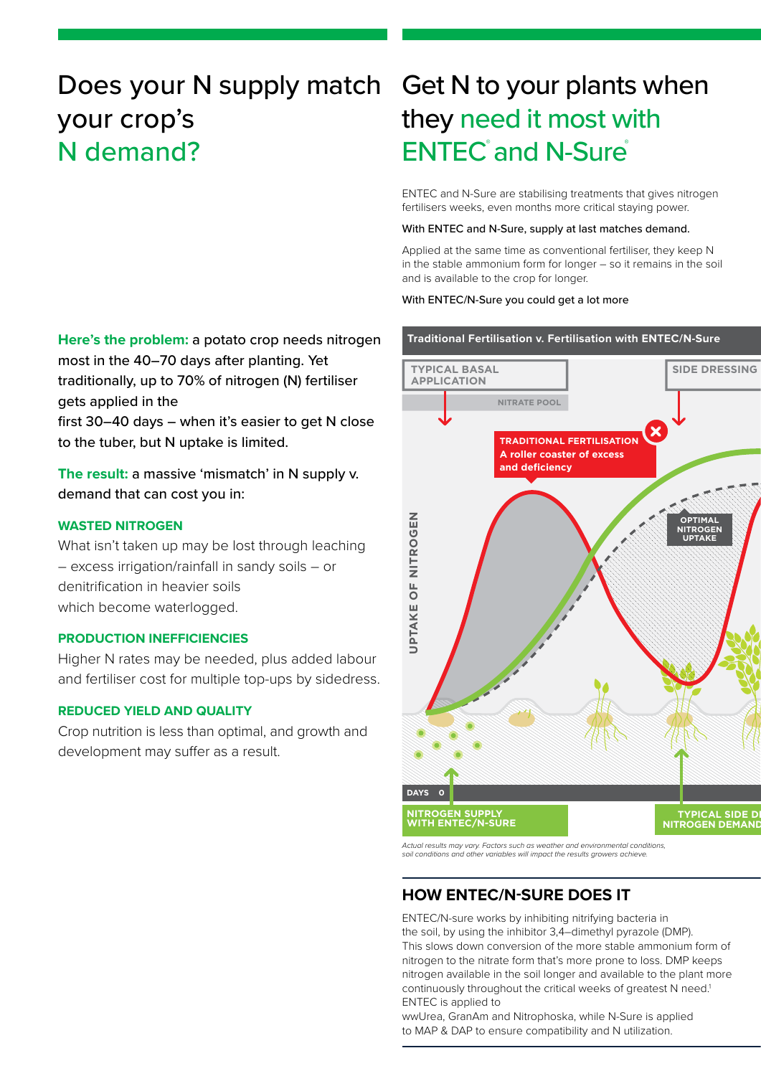## Does your N supply match your crop's N demand?

**Here's the problem:** a potato crop needs nitrogen most in the 40–70 days after planting. Yet traditionally, up to 70% of nitrogen (N) fertiliser gets applied in the

first 30–40 days – when it's easier to get N close to the tuber, but N uptake is limited.

**The result:** a massive 'mismatch' in N supply v. demand that can cost you in:

## **WASTED NITROGEN**

What isn't taken up may be lost through leaching – excess irrigation/rainfall in sandy soils – or denitrification in heavier soils which become waterlogged.

## **PRODUCTION INEFFICIENCIES**

Higher N rates may be needed, plus added labour and fertiliser cost for multiple top-ups by sidedress.

## **REDUCED YIELD AND QUALITY**

Crop nutrition is less than optimal, and growth and development may suffer as a result.

# Get N to your plants when they need it most with ENTEC**®** and N-Sure**®**

ENTEC and N-Sure are stabilising treatments that gives nitrogen fertilisers weeks, even months more critical staying power.

#### With ENTEC and N-Sure, supply at last matches demand.

Applied at the same time as conventional fertiliser, they keep N in the stable ammonium form for longer – so it remains in the soil and is available to the crop for longer.

## With ENTEC/N-Sure you could get a lot more

## **Traditional Fertilisation v. Fertilisation with ENTEC/N-Sure**



*Actual results may vary. Factors such as weather and environmental conditions, soil conditions and other variables will impact the results growers achieve.* 

## **HOW ENTEC/N-SURE DOES IT**

ENTEC/N-sure works by inhibiting nitrifying bacteria in the soil, by using the inhibitor 3,4–dimethyl pyrazole (DMP). This slows down conversion of the more stable ammonium form of nitrogen to the nitrate form that's more prone to loss. DMP keeps nitrogen available in the soil longer and available to the plant more continuously throughout the critical weeks of greatest N need.<sup>1</sup> ENTEC is applied to

wwUrea, GranAm and Nitrophoska, while N-Sure is applied to MAP & DAP to ensure compatibility and N utilization.